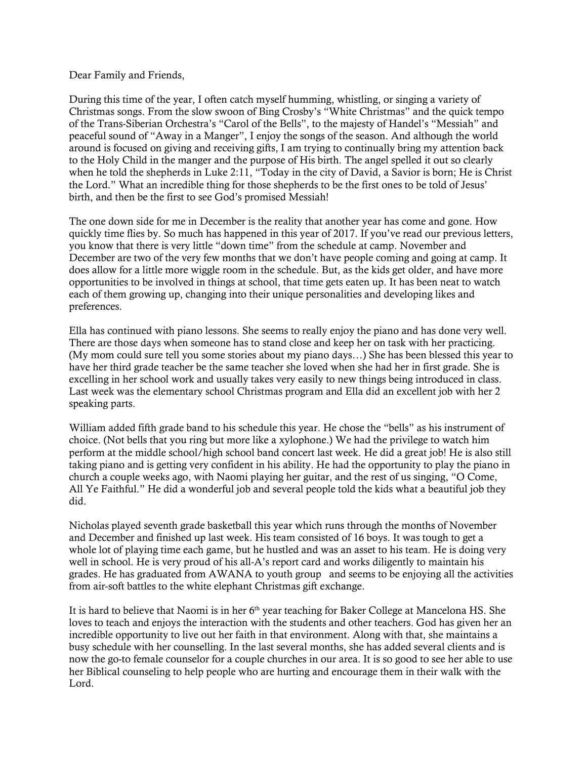## Dear Family and Friends,

During this time of the year, I often catch myself humming, whistling, or singing a variety of Christmas songs. From the slow swoon of Bing Crosby's "White Christmas" and the quick tempo of the Trans-Siberian Orchestra's "Carol of the Bells", to the majesty of Handel's "Messiah" and peaceful sound of "Away in a Manger", I enjoy the songs of the season. And although the world around is focused on giving and receiving gifts, I am trying to continually bring my attention back to the Holy Child in the manger and the purpose of His birth. The angel spelled it out so clearly when he told the shepherds in Luke 2:11, "Today in the city of David, a Savior is born; He is Christ the Lord." What an incredible thing for those shepherds to be the first ones to be told of Jesus' birth, and then be the first to see God's promised Messiah!

The one down side for me in December is the reality that another year has come and gone. How quickly time flies by. So much has happened in this year of 2017. If you've read our previous letters, you know that there is very little "down time" from the schedule at camp. November and December are two of the very few months that we don't have people coming and going at camp. It does allow for a little more wiggle room in the schedule. But, as the kids get older, and have more opportunities to be involved in things at school, that time gets eaten up. It has been neat to watch each of them growing up, changing into their unique personalities and developing likes and preferences.

Ella has continued with piano lessons. She seems to really enjoy the piano and has done very well. There are those days when someone has to stand close and keep her on task with her practicing. (My mom could sure tell you some stories about my piano days…) She has been blessed this year to have her third grade teacher be the same teacher she loved when she had her in first grade. She is excelling in her school work and usually takes very easily to new things being introduced in class. Last week was the elementary school Christmas program and Ella did an excellent job with her 2 speaking parts.

William added fifth grade band to his schedule this year. He chose the "bells" as his instrument of choice. (Not bells that you ring but more like a xylophone.) We had the privilege to watch him perform at the middle school/high school band concert last week. He did a great job! He is also still taking piano and is getting very confident in his ability. He had the opportunity to play the piano in church a couple weeks ago, with Naomi playing her guitar, and the rest of us singing, "O Come, All Ye Faithful." He did a wonderful job and several people told the kids what a beautiful job they did.

Nicholas played seventh grade basketball this year which runs through the months of November and December and finished up last week. His team consisted of 16 boys. It was tough to get a whole lot of playing time each game, but he hustled and was an asset to his team. He is doing very well in school. He is very proud of his all-A's report card and works diligently to maintain his grades. He has graduated from AWANA to youth group and seems to be enjoying all the activities from air-soft battles to the white elephant Christmas gift exchange.

It is hard to believe that Naomi is in her  $6<sup>th</sup>$  year teaching for Baker College at Mancelona HS. She loves to teach and enjoys the interaction with the students and other teachers. God has given her an incredible opportunity to live out her faith in that environment. Along with that, she maintains a busy schedule with her counselling. In the last several months, she has added several clients and is now the go-to female counselor for a couple churches in our area. It is so good to see her able to use her Biblical counseling to help people who are hurting and encourage them in their walk with the Lord.